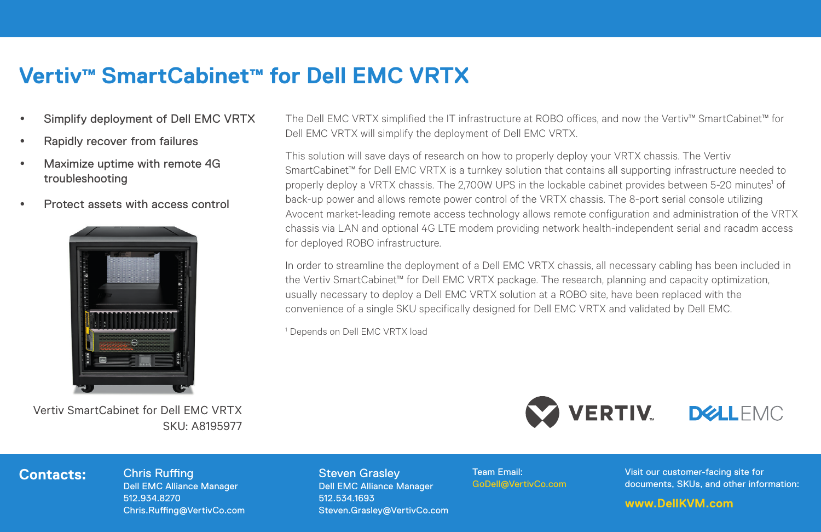## **Vertiv™ SmartCabinet™ for Dell EMC VRTX**

- Simplify deployment of Dell EMC VRTX
- Rapidly recover from failures
- Maximize uptime with remote 4G troubleshooting
- Protect assets with access control



Vertiv SmartCabinet for Dell EMC VRTX SKU: A8195977

The Dell EMC VRTX simplified the IT infrastructure at ROBO offices, and now the Vertiv™ SmartCabinet™ for Dell EMC VRTX will simplify the deployment of Dell EMC VRTX.

This solution will save days of research on how to properly deploy your VRTX chassis. The Vertiv SmartCabinet™ for Dell EMC VRTX is a turnkey solution that contains all supporting infrastructure needed to properly deploy a VRTX chassis. The 2,700W UPS in the lockable cabinet provides between 5-20 minutes1 of back-up power and allows remote power control of the VRTX chassis. The 8-port serial console utilizing Avocent market-leading remote access technology allows remote configuration and administration of the VRTX chassis via LAN and optional 4G LTE modem providing network health-independent serial and racadm access for deployed ROBO infrastructure.

In order to streamline the deployment of a Dell EMC VRTX chassis, all necessary cabling has been included in the Vertiv SmartCabinet™ for Dell EMC VRTX package. The research, planning and capacity optimization, usually necessary to deploy a Dell EMC VRTX solution at a ROBO site, have been replaced with the convenience of a single SKU specifically designed for Dell EMC VRTX and validated by Dell EMC.

1 Depends on Dell EMC VRTX load



## **Contacts:** Chris Ruffing

Dell EMC Alliance Manager 512.934.8270 Chris.Ruffing@VertivCo.com Steven Grasley Dell EMC Alliance Manager 512.534.1693 Steven.Grasley@VertivCo.com Team Email: GoDell@VertivCo.com Visit our customer-facing site for documents, SKUs, and other information:

## **www.DellKVM.com**